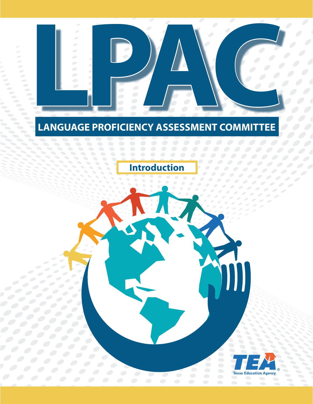

## **LANGUAGE PROFICIENCY ASSESSMENT COMMITTEE**

**Introduction** 

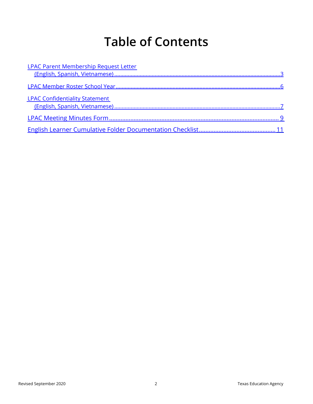# **Table of Contents**

| <b>LPAC Parent Membership Request Letter</b> |  |
|----------------------------------------------|--|
|                                              |  |
|                                              |  |
| <b>LPAC Confidentiality Statement</b>        |  |
|                                              |  |
|                                              |  |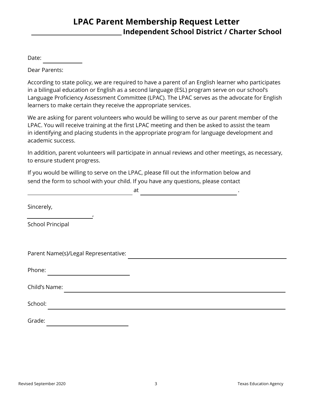#### **LPAC Parent Membership Request Letter Independent School District / Charter School**

<span id="page-2-0"></span>Date:

Dear Parents:

According to state policy, we are required to have a parent of an English learner who participates in a bilingual education or English as a second language (ESL) program serve on our school's Language Proficiency Assessment Committee (LPAC). The LPAC serves as the advocate for English learners to make certain they receive the appropriate services.

We are asking for parent volunteers who would be willing to serve as our parent member of the LPAC. You will receive training at the first LPAC meeting and then be asked to assist the team in identifying and placing students in the appropriate program for language development and academic success.

In addition, parent volunteers will participate in annual reviews and other meetings, as necessary, to ensure student progress.

If you would be willing to serve on the LPAC, please fill out the information below and send the form to school with your child. If you have any questions, please contact

|                                      | at |  |
|--------------------------------------|----|--|
| Sincerely,                           |    |  |
| <b>School Principal</b>              |    |  |
| Parent Name(s)/Legal Representative: |    |  |
| Phone:                               |    |  |
| Child's Name:                        |    |  |
| School:                              |    |  |
| Grade:                               |    |  |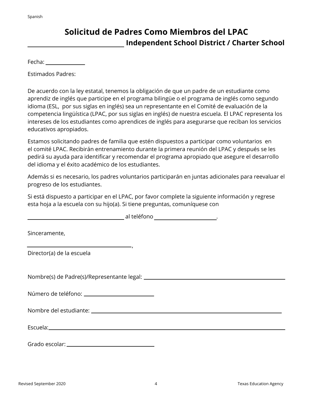## **Solicitud de Padres Como Miembros del LPAC Independent School District / Charter School**

Fecha:

Estimados Padres:

De acuerdo con la ley estatal, tenemos la obligación de que un padre de un estudiante como aprendiz de inglés que participe en el programa bilingüe o el programa de inglés como segundo idioma (ESL, por sus siglas en inglés) sea un representante en el Comité de evaluación de la competencia lingüística (LPAC, por sus siglas en inglés) de nuestra escuela. El LPAC representa los intereses de los estudiantes como aprendices de inglés para asegurarse que reciban los servicios educativos apropiados.

Estamos solicitando padres de familia que estén dispuestos a participar como voluntarios en el comité LPAC. Recibirán entrenamiento durante la primera reunión del LPAC y después se les pedirá su ayuda para identificar y recomendar el programa apropiado que asegure el desarrollo del idioma y el éxito académico de los estudiantes.

Además si es necesario, los padres voluntarios participarán en juntas adicionales para reevaluar el progreso de los estudiantes.

Si está dispuesto a participar en el LPAC, por favor complete la siguiente información y regrese esta hoja a la escuela con su hijo(a). Si tiene preguntas, comuníquese con

| Sinceramente,                                                                                                                                                                                                                        |
|--------------------------------------------------------------------------------------------------------------------------------------------------------------------------------------------------------------------------------------|
| $\overline{\phantom{a}}$<br>Director(a) de la escuela                                                                                                                                                                                |
|                                                                                                                                                                                                                                      |
|                                                                                                                                                                                                                                      |
|                                                                                                                                                                                                                                      |
| Escuela: <u>contra la contra la contra la contra la contra la contra la contra la contra la contra la contra la contra la contra la contra la contra la contra la contra la contra la contra la contra la contra la contra la co</u> |
|                                                                                                                                                                                                                                      |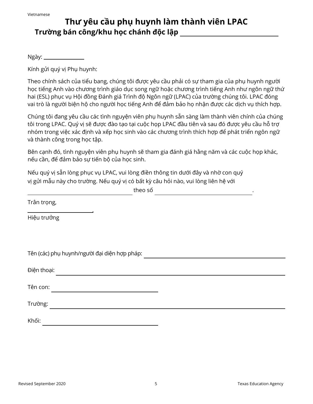## **Thư yêu cầu phụ huynh làm thành viên LPAC Trường bán công/khu học chánh độc lập**

Ngày: \_\_\_\_\_\_\_\_\_\_

Kính gửi quý vị Phụ huynh:

Theo chính sách của tiểu bang, chúng tôi được yêu cầu phải có sự tham gia của phụ huynh người học tiếng Anh vào chương trình giáo dục song ngữ hoặc chương trình tiếng Anh như ngôn ngữ thứ hai (ESL) phục vụ Hội đồng Đánh giá Trình độ Ngôn ngữ (LPAC) của trường chúng tôi. LPAC đóng vai trò là người biện hộ cho người học tiếng Anh để đảm bảo họ nhận được các dịch vụ thích hợp.

Chúng tôi đang yêu cầu các tình nguyện viên phụ huynh sẵn sàng làm thành viên chính của chúng tôi trong LPAC. Quý vị sẽ được đào tạo tại cuộc họp LPAC đầu tiên và sau đó được yêu cầu hỗ trợ nhóm trong việc xác định và xếp học sinh vào các chương trình thích hợp để phát triển ngôn ngữ và thành công trong học tập.

Bên cạnh đó, tình nguyện viên phụ huynh sẽ tham gia đánh giá hằng năm và các cuộc họp khác, nếu cần, để đảm bảo sự tiến bộ của học sinh.

Nếu quý vị sẵn lòng phục vụ LPAC, vui lòng điền thông tin dưới đây và nhờ con quý vị gửi mẫu này cho trường. Nếu quý vị có bất kỳ câu hỏi nào, vui lòng liên hệ với

theo số .

| Trân trọng,                                  |  |
|----------------------------------------------|--|
| Hiệu trưởng                                  |  |
|                                              |  |
| Tên (các) phụ huynh/người đại diện hợp pháp: |  |
| Điện thoại:                                  |  |
| Tên con:                                     |  |
| Trường:                                      |  |
| Khối:                                        |  |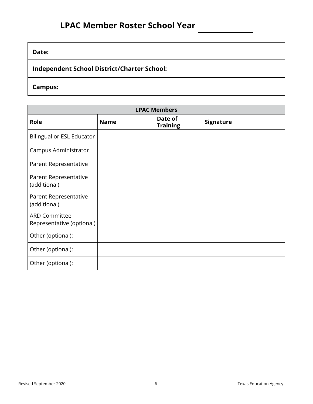#### **Date:**

**Independent School District/Charter School:** 

**Campus:** 

| <b>LPAC Members</b>                               |             |                            |                  |  |  |  |  |  |
|---------------------------------------------------|-------------|----------------------------|------------------|--|--|--|--|--|
| Role                                              | <b>Name</b> | Date of<br><b>Training</b> | <b>Signature</b> |  |  |  |  |  |
| <b>Bilingual or ESL Educator</b>                  |             |                            |                  |  |  |  |  |  |
| Campus Administrator                              |             |                            |                  |  |  |  |  |  |
| Parent Representative                             |             |                            |                  |  |  |  |  |  |
| Parent Representative<br>(additional)             |             |                            |                  |  |  |  |  |  |
| Parent Representative<br>(additional)             |             |                            |                  |  |  |  |  |  |
| <b>ARD Committee</b><br>Representative (optional) |             |                            |                  |  |  |  |  |  |
| Other (optional):                                 |             |                            |                  |  |  |  |  |  |
| Other (optional):                                 |             |                            |                  |  |  |  |  |  |
| Other (optional):                                 |             |                            |                  |  |  |  |  |  |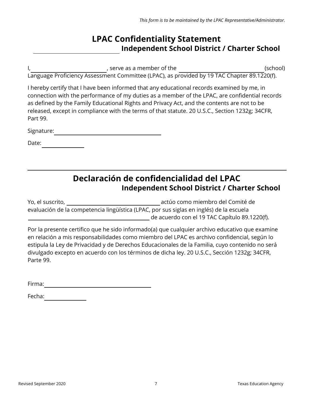#### **LPAC Confidentiality Statement Independent School District / Charter School**

I, the contract of the serve as a member of the contract of the serve as a member of the serve as  $\sim$  (school)

Language Proficiency Assessment Committee (LPAC), as provided by 19 TAC Chapter 89.1220(f).

I hereby certify that I have been informed that any educational records examined by me, in connection with the performance of my duties as a member of the LPAC, are confidential records as defined by the Family Educational Rights and Privacy Act, and the contents are not to be released, except in compliance with the terms of that statute. 20 U.S.C., Section 1232g; 34CFR, Part 99.

Signature:

Date:

#### **Declaración de confidencialidad del LPAC Independent School District / Charter School**

Yo, el suscrito, actúo como miembro del Comité de evaluación de la competencia lingüística (LPAC, por sus siglas en inglés) de la escuela de acuerdo con el 19 TAC Capítulo 89.1220(f).

Por la presente certifico que he sido informado(a) que cualquier archivo educativo que examine en relación a mis responsabilidades como miembro del LPAC es archivo confidencial, según lo estipula la Ley de Privacidad y de Derechos Educacionales de la Familia, cuyo contenido no será divulgado excepto en acuerdo con los términos de dicha ley. 20 U.S.C., Sección 1232g; 34CFR, Parte 99.

Firma:

Fecha: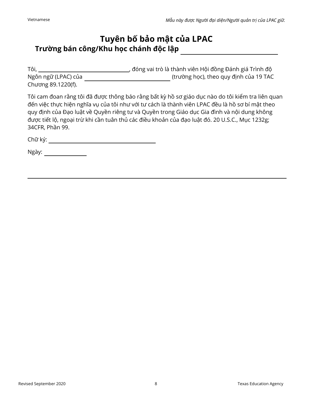#### **Tuyên bố bảo mật của LPAC Trường bán công/Khu học chánh độc lập**

| Tôi,                | , đóng vai trò là thành viên Hội đồng Đánh giá Trình độ |
|---------------------|---------------------------------------------------------|
| Ngôn ngữ (LPAC) của | (trường học), theo quy định của 19 TAC                  |
| Chương 89.1220(f).  |                                                         |

Tôi cam đoan rằng tôi đã được thông báo rằng bất kỳ hồ sơ giáo dục nào do tôi kiểm tra liên quan đến việc thực hiện nghĩa vụ của tôi như với tư cách là thành viên LPAC đều là hồ sơ bí mật theo quy định của Đạo luật về Quyền riêng tư và Quyền trong Giáo dục Gia đình và nội dung không được tiết lộ, ngoại trừ khi cần tuân thủ các điều khoản của đạo luật đó. 20 U.S.C., Mục 1232g; 34CFR, Phần 99.

Chữ ký:

Ngày: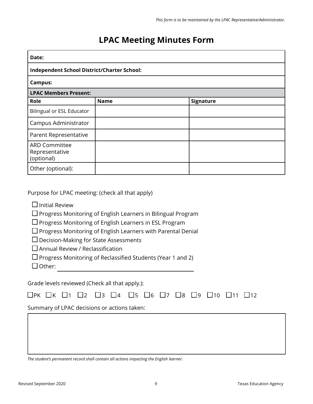#### **LPAC Meeting Minutes Form**

| Date:                                                |             |           |  |  |  |  |  |
|------------------------------------------------------|-------------|-----------|--|--|--|--|--|
| <b>Independent School District/Charter School:</b>   |             |           |  |  |  |  |  |
| <b>Campus:</b>                                       |             |           |  |  |  |  |  |
| <b>LPAC Members Present:</b>                         |             |           |  |  |  |  |  |
| Role                                                 | <b>Name</b> | Signature |  |  |  |  |  |
| <b>Bilingual or ESL Educator</b>                     |             |           |  |  |  |  |  |
| Campus Administrator                                 |             |           |  |  |  |  |  |
| Parent Representative                                |             |           |  |  |  |  |  |
| <b>ARD Committee</b><br>Representative<br>(optional) |             |           |  |  |  |  |  |
| Other (optional):                                    |             |           |  |  |  |  |  |

Purpose for LPAC meeting: (check all that apply)

 $\Box$  Initial Review

 $\square$  Progress Monitoring of English Learners in Bilingual Program

 $\square$  Progress Monitoring of English Learners in ESL Program

 $\square$  Progress Monitoring of English Learners with Parental Denial

 $\square$  Decision-Making for State Assessments

 $\square$  Annual Review / Reclassification

 $\square$  Progress Monitoring of Reclassified Students (Year 1 and 2)

 $\Box$  Other:

Grade levels reviewed (Check all that apply.):

|  |                                             |  |  |  | □РК □К □1 □2 □3 □4 □5 □6 □7 □8 □9 □10 □11 □12 |  |  |
|--|---------------------------------------------|--|--|--|-----------------------------------------------|--|--|
|  | Summary of LPAC decisions or actions taken: |  |  |  |                                               |  |  |
|  |                                             |  |  |  |                                               |  |  |
|  |                                             |  |  |  |                                               |  |  |
|  |                                             |  |  |  |                                               |  |  |

*The student's permanent record shall contain all actions impacting the English learner.*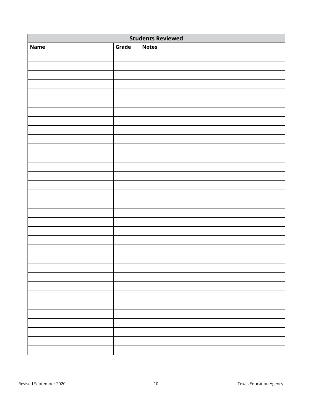| <b>Students Reviewed</b>             |  |  |  |  |  |  |  |  |
|--------------------------------------|--|--|--|--|--|--|--|--|
| Grade<br><b>Notes</b><br><b>Name</b> |  |  |  |  |  |  |  |  |
|                                      |  |  |  |  |  |  |  |  |
|                                      |  |  |  |  |  |  |  |  |
|                                      |  |  |  |  |  |  |  |  |
|                                      |  |  |  |  |  |  |  |  |
|                                      |  |  |  |  |  |  |  |  |
|                                      |  |  |  |  |  |  |  |  |
|                                      |  |  |  |  |  |  |  |  |
|                                      |  |  |  |  |  |  |  |  |
|                                      |  |  |  |  |  |  |  |  |
|                                      |  |  |  |  |  |  |  |  |
|                                      |  |  |  |  |  |  |  |  |
|                                      |  |  |  |  |  |  |  |  |
|                                      |  |  |  |  |  |  |  |  |
|                                      |  |  |  |  |  |  |  |  |
|                                      |  |  |  |  |  |  |  |  |
|                                      |  |  |  |  |  |  |  |  |
|                                      |  |  |  |  |  |  |  |  |
|                                      |  |  |  |  |  |  |  |  |
|                                      |  |  |  |  |  |  |  |  |
|                                      |  |  |  |  |  |  |  |  |
|                                      |  |  |  |  |  |  |  |  |
|                                      |  |  |  |  |  |  |  |  |
|                                      |  |  |  |  |  |  |  |  |
|                                      |  |  |  |  |  |  |  |  |
|                                      |  |  |  |  |  |  |  |  |
|                                      |  |  |  |  |  |  |  |  |
|                                      |  |  |  |  |  |  |  |  |
|                                      |  |  |  |  |  |  |  |  |
|                                      |  |  |  |  |  |  |  |  |
|                                      |  |  |  |  |  |  |  |  |
|                                      |  |  |  |  |  |  |  |  |
|                                      |  |  |  |  |  |  |  |  |
|                                      |  |  |  |  |  |  |  |  |